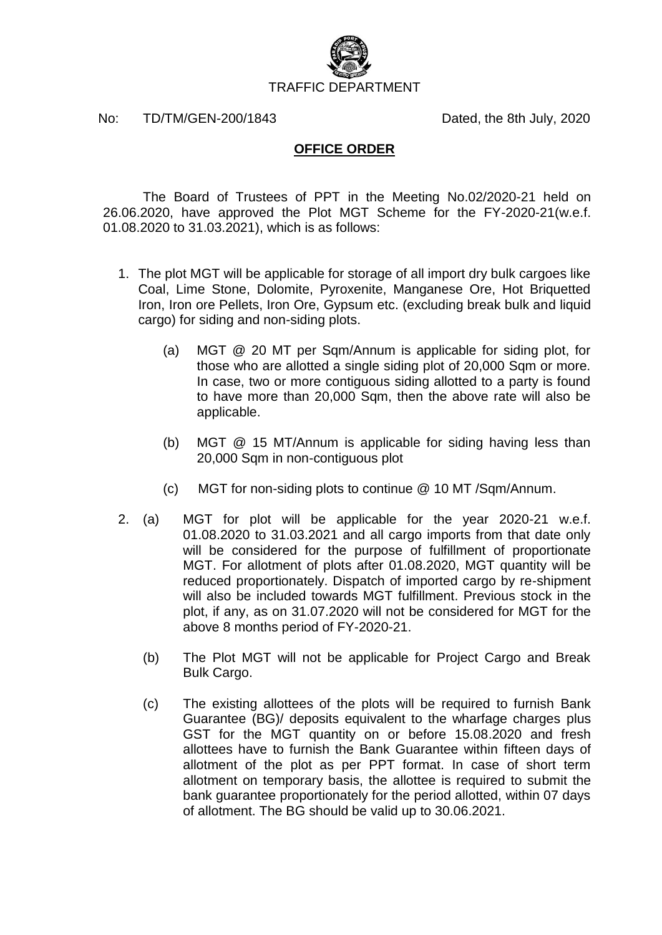

No: TD/TM/GEN-200/1843 Dated, the 8th July, 2020

## **OFFICE ORDER**

The Board of Trustees of PPT in the Meeting No.02/2020-21 held on 26.06.2020, have approved the Plot MGT Scheme for the FY-2020-21(w.e.f. 01.08.2020 to 31.03.2021), which is as follows:

- 1. The plot MGT will be applicable for storage of all import dry bulk cargoes like Coal, Lime Stone, Dolomite, Pyroxenite, Manganese Ore, Hot Briquetted Iron, Iron ore Pellets, Iron Ore, Gypsum etc. (excluding break bulk and liquid cargo) for siding and non-siding plots.
	- (a) MGT @ 20 MT per Sqm/Annum is applicable for siding plot, for those who are allotted a single siding plot of 20,000 Sqm or more. In case, two or more contiguous siding allotted to a party is found to have more than 20,000 Sqm, then the above rate will also be applicable.
	- (b) MGT @ 15 MT/Annum is applicable for siding having less than 20,000 Sqm in non-contiguous plot
	- (c) MGT for non-siding plots to continue @ 10 MT /Sqm/Annum.
- 2. (a) MGT for plot will be applicable for the year 2020-21 w.e.f. 01.08.2020 to 31.03.2021 and all cargo imports from that date only will be considered for the purpose of fulfillment of proportionate MGT. For allotment of plots after 01.08.2020, MGT quantity will be reduced proportionately. Dispatch of imported cargo by re-shipment will also be included towards MGT fulfillment. Previous stock in the plot, if any, as on 31.07.2020 will not be considered for MGT for the above 8 months period of FY-2020-21.
	- (b) The Plot MGT will not be applicable for Project Cargo and Break Bulk Cargo.
	- (c) The existing allottees of the plots will be required to furnish Bank Guarantee (BG)/ deposits equivalent to the wharfage charges plus GST for the MGT quantity on or before 15.08.2020 and fresh allottees have to furnish the Bank Guarantee within fifteen days of allotment of the plot as per PPT format. In case of short term allotment on temporary basis, the allottee is required to submit the bank guarantee proportionately for the period allotted, within 07 days of allotment. The BG should be valid up to 30.06.2021.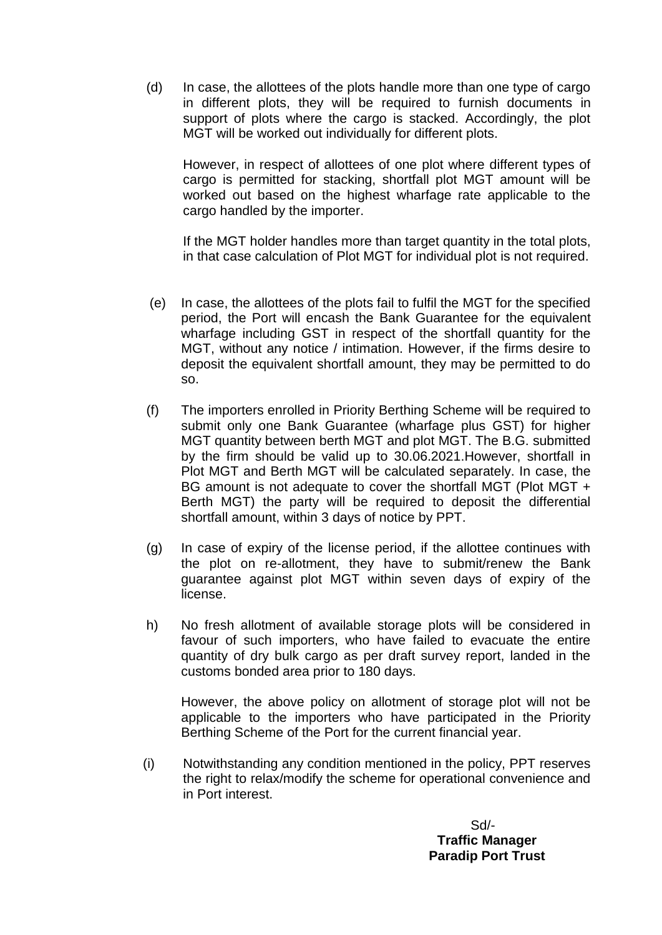(d) In case, the allottees of the plots handle more than one type of cargo in different plots, they will be required to furnish documents in support of plots where the cargo is stacked. Accordingly, the plot MGT will be worked out individually for different plots.

However, in respect of allottees of one plot where different types of cargo is permitted for stacking, shortfall plot MGT amount will be worked out based on the highest wharfage rate applicable to the cargo handled by the importer.

If the MGT holder handles more than target quantity in the total plots, in that case calculation of Plot MGT for individual plot is not required.

- (e) In case, the allottees of the plots fail to fulfil the MGT for the specified period, the Port will encash the Bank Guarantee for the equivalent wharfage including GST in respect of the shortfall quantity for the MGT, without any notice / intimation. However, if the firms desire to deposit the equivalent shortfall amount, they may be permitted to do so.
- (f) The importers enrolled in Priority Berthing Scheme will be required to submit only one Bank Guarantee (wharfage plus GST) for higher MGT quantity between berth MGT and plot MGT. The B.G. submitted by the firm should be valid up to 30.06.2021.However, shortfall in Plot MGT and Berth MGT will be calculated separately. In case, the BG amount is not adequate to cover the shortfall MGT (Plot MGT + Berth MGT) the party will be required to deposit the differential shortfall amount, within 3 days of notice by PPT.
- (g) In case of expiry of the license period, if the allottee continues with the plot on re-allotment, they have to submit/renew the Bank guarantee against plot MGT within seven days of expiry of the license.
- h) No fresh allotment of available storage plots will be considered in favour of such importers, who have failed to evacuate the entire quantity of dry bulk cargo as per draft survey report, landed in the customs bonded area prior to 180 days.

However, the above policy on allotment of storage plot will not be applicable to the importers who have participated in the Priority Berthing Scheme of the Port for the current financial year.

(i) Notwithstanding any condition mentioned in the policy, PPT reserves the right to relax/modify the scheme for operational convenience and in Port interest.

> Sd/- **Traffic Manager Paradip Port Trust**